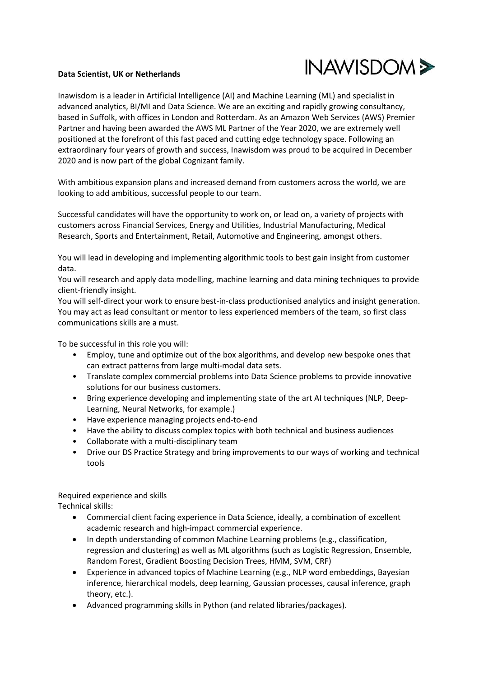

## **Data Scientist, UK or Netherlands**

Inawisdom is a leader in Artificial Intelligence (AI) and Machine Learning (ML) and specialist in advanced analytics, BI/MI and Data Science. We are an exciting and rapidly growing consultancy, based in Suffolk, with offices in London and Rotterdam. As an Amazon Web Services (AWS) Premier Partner and having been awarded the AWS ML Partner of the Year 2020, we are extremely well positioned at the forefront of this fast paced and cutting edge technology space. Following an extraordinary four years of growth and success, Inawisdom was proud to be acquired in December 2020 and is now part of the global Cognizant family.

With ambitious expansion plans and increased demand from customers across the world, we are looking to add ambitious, successful people to our team.

Successful candidates will have the opportunity to work on, or lead on, a variety of projects with customers across Financial Services, Energy and Utilities, Industrial Manufacturing, Medical Research, Sports and Entertainment, Retail, Automotive and Engineering, amongst others.

You will lead in developing and implementing algorithmic tools to best gain insight from customer data.

You will research and apply data modelling, machine learning and data mining techniques to provide client-friendly insight.

You will self-direct your work to ensure best-in-class productionised analytics and insight generation. You may act as lead consultant or mentor to less experienced members of the team, so first class communications skills are a must.

To be successful in this role you will:

- Employ, tune and optimize out of the box algorithms, and develop new bespoke ones that can extract patterns from large multi-modal data sets.
- Translate complex commercial problems into Data Science problems to provide innovative solutions for our business customers.
- Bring experience developing and implementing state of the art AI techniques (NLP, Deep-Learning, Neural Networks, for example.)
- Have experience managing projects end-to-end
- Have the ability to discuss complex topics with both technical and business audiences
- Collaborate with a multi-disciplinary team
- Drive our DS Practice Strategy and bring improvements to our ways of working and technical tools

Required experience and skills Technical skills:

- Commercial client facing experience in Data Science, ideally, a combination of excellent academic research and high-impact commercial experience.
- In depth understanding of common Machine Learning problems (e.g., classification, regression and clustering) as well as ML algorithms (such as Logistic Regression, Ensemble, Random Forest, Gradient Boosting Decision Trees, HMM, SVM, CRF)
- Experience in advanced topics of Machine Learning (e.g., NLP word embeddings, Bayesian inference, hierarchical models, deep learning, Gaussian processes, causal inference, graph theory, etc.).
- Advanced programming skills in Python (and related libraries/packages).